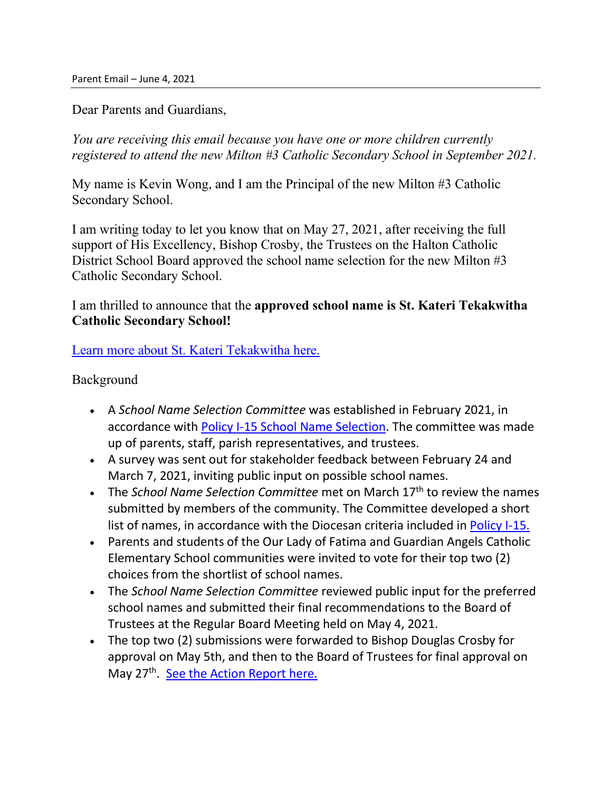Dear Parents and Guardians,

*You are receiving this email because you have one or more children currently registered to attend the new Milton #3 Catholic Secondary School in September 2021.*

My name is Kevin Wong, and I am the Principal of the new Milton #3 Catholic Secondary School.

I am writing today to let you know that on May 27, 2021, after receiving the full support of His Excellency, Bishop Crosby, the Trustees on the Halton Catholic District School Board approved the school name selection for the new Milton #3 Catholic Secondary School.

I am thrilled to announce that the **approved school name is St. Kateri Tekakwitha Catholic Secondary School!**

[Learn more about St. Kateri Tekakwitha here.](https://can01.safelinks.protection.outlook.com/?url=https%3A%2F%2Fwww.youtube.com%2Fwatch%3Fv%3DHPMWtDMSUcg&data=04%7C01%7CWongK%40hcdsb.org%7C019dd436ce074236cf7808d926be728c%7C2537ab7d25bd498aa6427c135779e6d2%7C1%7C0%7C637583421674822826%7CUnknown%7CTWFpbGZsb3d8eyJWIjoiMC4wLjAwMDAiLCJQIjoiV2luMzIiLCJBTiI6Ik1haWwiLCJXVCI6Mn0%3D%7C1000&sdata=DRpyAjQJmoBgQ207wR1j3Ddmt0VzDERXl9Y63Ac1Xdg%3D&reserved=0)

## Background

- A *School Name Selection Committee* was established in February 2021, in accordance with [Policy I-15 School Name Selection.](https://can01.safelinks.protection.outlook.com/?url=https%3A%2F%2Fwww.hcdsb.org%2Fwp-content%2Fuploads%2F2020%2F12%2FI-15-School-Name-Selection.pdf&data=04%7C01%7CWongK%40hcdsb.org%7C019dd436ce074236cf7808d926be728c%7C2537ab7d25bd498aa6427c135779e6d2%7C1%7C0%7C637583421674822826%7CUnknown%7CTWFpbGZsb3d8eyJWIjoiMC4wLjAwMDAiLCJQIjoiV2luMzIiLCJBTiI6Ik1haWwiLCJXVCI6Mn0%3D%7C1000&sdata=2ZMf1JI3XypSdNJxoxNBgb319%2FKbU81DGhbxxW2zvQs%3D&reserved=0) The committee was made up of parents, staff, parish representatives, and trustees.
- A survey was sent out for stakeholder feedback between February 24 and March 7, 2021, inviting public input on possible school names.
- The *School Name Selection Committee* met on March 17th to review the names submitted by members of the community. The Committee developed a short list of names, in accordance with the Diocesan criteria included in [Policy I-15.](https://can01.safelinks.protection.outlook.com/?url=https%3A%2F%2Fwww.hcdsb.org%2Fwp-content%2Fuploads%2F2020%2F12%2FI-15-School-Name-Selection.pdf&data=04%7C01%7CWongK%40hcdsb.org%7C019dd436ce074236cf7808d926be728c%7C2537ab7d25bd498aa6427c135779e6d2%7C1%7C0%7C637583421674832778%7CUnknown%7CTWFpbGZsb3d8eyJWIjoiMC4wLjAwMDAiLCJQIjoiV2luMzIiLCJBTiI6Ik1haWwiLCJXVCI6Mn0%3D%7C1000&sdata=L9ljKnVpnCDnOEJEqcErwFeaglxN4fXUahfqmrBlP2s%3D&reserved=0)
- Parents and students of the Our Lady of Fatima and Guardian Angels Catholic Elementary School communities were invited to vote for their top two (2) choices from the shortlist of school names.
- The *School Name Selection Committee* reviewed public input for the preferred school names and submitted their final recommendations to the Board of Trustees at the Regular Board Meeting held on May 4, 2021.
- The top two (2) submissions were forwarded to Bishop Douglas Crosby for approval on May 5th, and then to the Board of Trustees for final approval on May 27<sup>th</sup>. [See the Action Report here.](https://can01.safelinks.protection.outlook.com/?url=https%3A%2F%2Fwww.hcdsb.org%2Fwp-content%2Fuploads%2F2021%2F06%2F8_2-Recommended-Names-for-Milton-No.-3-CSS.pdf&data=04%7C01%7CWongK%40hcdsb.org%7C019dd436ce074236cf7808d926be728c%7C2537ab7d25bd498aa6427c135779e6d2%7C1%7C0%7C637583421674842743%7CUnknown%7CTWFpbGZsb3d8eyJWIjoiMC4wLjAwMDAiLCJQIjoiV2luMzIiLCJBTiI6Ik1haWwiLCJXVCI6Mn0%3D%7C1000&sdata=uXUYASOOGKxiAjj5wNvsAUzWF7QW59OPdt4JGnMXJPM%3D&reserved=0)